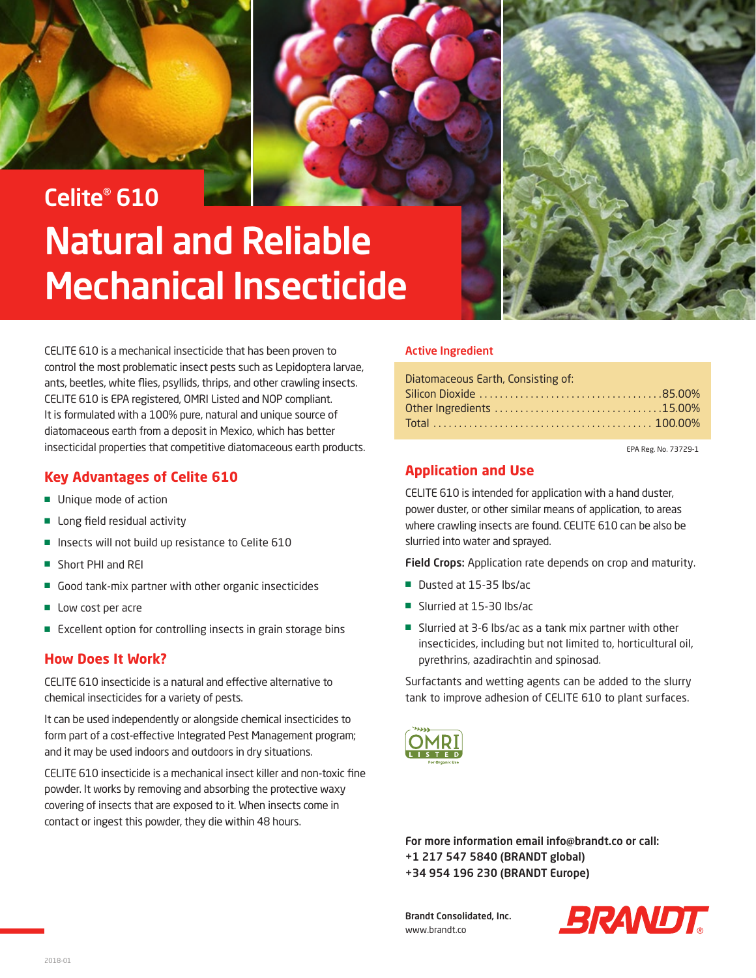



## Celite® 610 Natural and Reliable Mechanical Insecticide

CELITE 610 is a mechanical insecticide that has been proven to control the most problematic insect pests such as Lepidoptera larvae, ants, beetles, white flies, psyllids, thrips, and other crawling insects. CELITE 610 is EPA registered, OMRI Listed and NOP compliant. It is formulated with a 100% pure, natural and unique source of diatomaceous earth from a deposit in Mexico, which has better insecticidal properties that competitive diatomaceous earth products.

## **Key Advantages of Celite 610**

- Unique mode of action
- Long field residual activity
- Insects will not build up resistance to Celite 610
- Short PHI and REI
- Good tank-mix partner with other organic insecticides
- Low cost per acre
- Excellent option for controlling insects in grain storage bins

## **How Does It Work?**

CELITE 610 insecticide is a natural and effective alternative to chemical insecticides for a variety of pests.

It can be used independently or alongside chemical insecticides to form part of a cost-effective Integrated Pest Management program; and it may be used indoors and outdoors in dry situations.

CELITE 610 insecticide is a mechanical insect killer and non-toxic fine powder. It works by removing and absorbing the protective waxy covering of insects that are exposed to it. When insects come in contact or ingest this powder, they die within 48 hours.

## Active Ingredient

| Diatomaceous Earth, Consisting of: |  |
|------------------------------------|--|
|                                    |  |
|                                    |  |
|                                    |  |

EPA Reg. No. 73729-1

## **Application and Use**

CELITE 610 is intended for application with a hand duster, power duster, or other similar means of application, to areas where crawling insects are found. CELITE 610 can be also be slurried into water and sprayed.

Field Crops: Application rate depends on crop and maturity.

- Dusted at 15-35 lbs/ac
- Slurried at 15-30 lbs/ac
- Slurried at 3-6 lbs/ac as a tank mix partner with other insecticides, including but not limited to, horticultural oil, pyrethrins, azadirachtin and spinosad.

Surfactants and wetting agents can be added to the slurry tank to improve adhesion of CELITE 610 to plant surfaces.



For more information email info@brandt.co or call: +1 217 547 5840 (BRANDT global) +34 954 196 230 (BRANDT Europe)

Brandt Consolidated, Inc. www.brandt.co